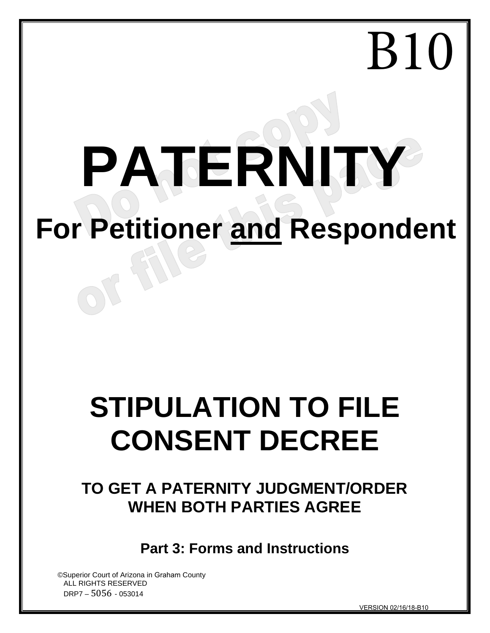# **PATERNITY For Petitioner and Respondent**

## **STIPULATION TO FILE CONSENT DECREE**

### **TO GET A PATERNITY JUDGMENT/ORDER WHEN BOTH PARTIES AGREE**

**Part 3: Forms and Instructions**

©Superior Court of Arizona in Graham County ALL RIGHTS RESERVED DRP7 – 5056 - 053014

VERSION 02/16/18-B10

B10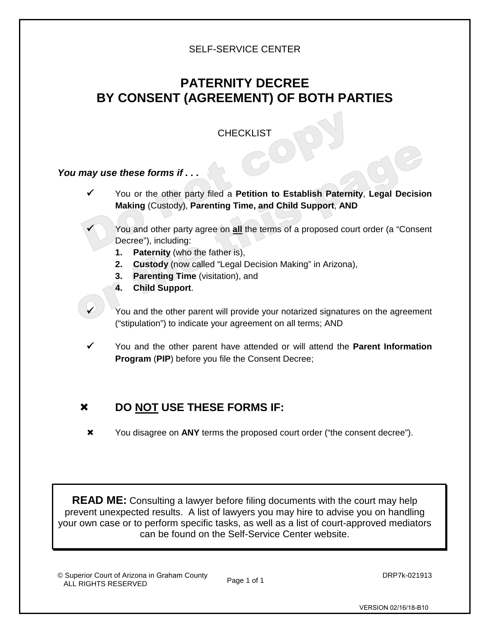#### SELF-SERVICE CENTER

#### **PATERNITY DECREE BY CONSENT (AGREEMENT) OF BOTH PARTIES**

#### **CHECKLIST**

#### *You may use these forms if . . .*

- You or the other party filed a **Petition to Establish Paternity**, **Legal Decision Making** (Custody), **Parenting Time, and Child Support**, **AND**
	- You and other party agree on **all** the terms of a proposed court order (a "Consent Decree"), including:
	- **1. Paternity** (who the father is),
	- **2. Custody** (now called "Legal Decision Making" in Arizona),
	- **3. Parenting Time** (visitation), and
	- **4. Child Support**.
- $\checkmark$  You and the other parent will provide your notarized signatures on the agreement ("stipulation") to indicate your agreement on all terms; AND
- You and the other parent have attended or will attend the **Parent Information Program** (**PIP**) before you file the Consent Decree;

#### **DO NOT USE THESE FORMS IF:**

You disagree on **ANY** terms the proposed court order ("the consent decree").

**READ ME:** Consulting a lawyer before filing documents with the court may help prevent unexpected results. A list of lawyers you may hire to advise you on handling your own case or to perform specific tasks, as well as a list of court-approved mediators can be found on the Self-Service Center website.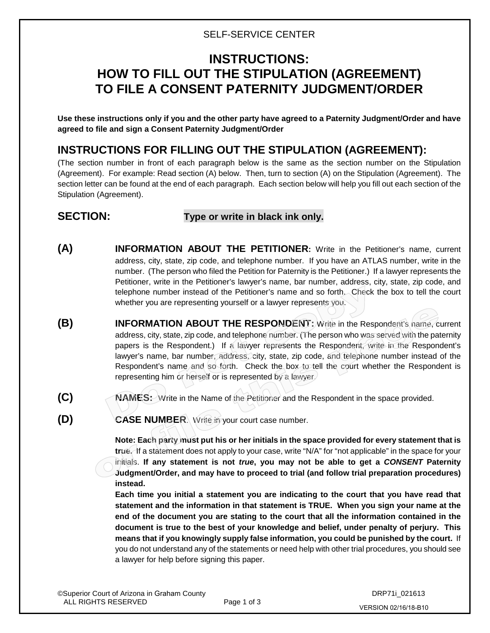#### SELF-SERVICE CENTER

#### **INSTRUCTIONS: HOW TO FILL OUT THE STIPULATION (AGREEMENT) TO FILE A CONSENT PATERNITY JUDGMENT/ORDER**

**Use these instructions only if you and the other party have agreed to a Paternity Judgment/Order and have agreed to file and sign a Consent Paternity Judgment/Order**

#### **INSTRUCTIONS FOR FILLING OUT THE STIPULATION (AGREEMENT):**

(The section number in front of each paragraph below is the same as the section number on the Stipulation (Agreement). For example: Read section (A) below. Then, turn to section (A) on the Stipulation (Agreement). The section letter can be found at the end of each paragraph. Each section below will help you fill out each section of the Stipulation (Agreement).

#### **SECTION: Type or write in black ink only.**

- **(A) INFORMATION ABOUT THE PETITIONER:** Write in the Petitioner's name, current address, city, state, zip code, and telephone number. If you have an ATLAS number, write in the number. (The person who filed the Petition for Paternity is the Petitioner.) If a lawyer represents the Petitioner, write in the Petitioner's lawyer's name, bar number, address, city, state, zip code, and telephone number instead of the Petitioner's name and so forth. Check the box to tell the court whether you are representing yourself or a lawyer represents you.
- **(B) INFORMATION ABOUT THE RESPONDENT:** Write in the Respondent's name, current address, city, state, zip code, and telephone number. (The person who was served with the paternity papers is the Respondent.) If a lawyer represents the Respondent, write in the Respondent's lawyer's name, bar number, address, city, state, zip code, and telephone number instead of the Respondent's name and so forth. Check the box to tell the court whether the Respondent is representing him or herself or is represented by a lawyer.
- **(C) NAMES:** Write in the Name of the Petitioner and the Respondent in the space provided.
- **(D) CASE NUMBER**. Write in your court case number.

**Note: Each party must put his or her initials in the space provided for every statement that is true.** If a statement does not apply to your case, write "N/A" for "not applicable" in the space for your initials. **If any statement is not** *true***, you may not be able to get a** *CONSENT* **Paternity Judgment/Order, and may have to proceed to trial (and follow trial preparation procedures) instead.**

**Each time you initial a statement you are indicating to the court that you have read that statement and the information in that statement is TRUE. When you sign your name at the end of the document you are stating to the court that all the information contained in the document is true to the best of your knowledge and belief, under penalty of perjury. This means that if you knowingly supply false information, you could be punished by the court.** If you do not understand any of the statements or need help with other trial procedures, you should see a lawyer for help before signing this paper.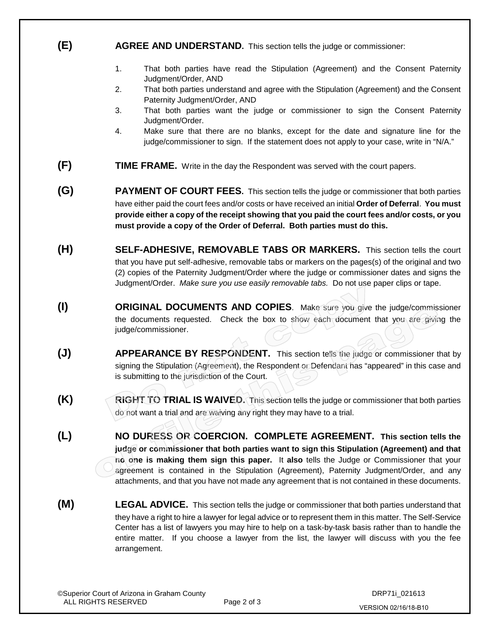#### **(E) AGREE AND UNDERSTAND.** This section tells the judge or commissioner:

- 1. That both parties have read the Stipulation (Agreement) and the Consent Paternity Judgment/Order, AND
- 2. That both parties understand and agree with the Stipulation (Agreement) and the Consent Paternity Judgment/Order, AND
- 3. That both parties want the judge or commissioner to sign the Consent Paternity Judgment/Order.
- 4. Make sure that there are no blanks, except for the date and signature line for the judge/commissioner to sign. If the statement does not apply to your case, write in "N/A."
- **(F) TIME FRAME.** Write in the day the Respondent was served with the court papers.
- **(G) PAYMENT OF COURT FEES.** This section tells the judge or commissioner that both parties have either paid the court fees and/or costs or have received an initial **Order of Deferral**. **You must provide either a copy of the receipt showing that you paid the court fees and/or costs, or you must provide a copy of the Order of Deferral. Both parties must do this.**
- **(H) SELF-ADHESIVE, REMOVABLE TABS OR MARKERS.** This section tells the court that you have put self-adhesive, removable tabs or markers on the pages(s) of the original and two (2) copies of the Paternity Judgment/Order where the judge or commissioner dates and signs the Judgment/Order. *Make sure you use easily removable tabs.* Do not use paper clips or tape.
- **(I) ORIGINAL DOCUMENTS AND COPIES**. Make sure you give the judge/commissioner the documents requested. Check the box to show each document that you are giving the judge/commissioner.
- **(J) APPEARANCE BY RESPONDENT.** This section tells the judge or commissioner that by signing the Stipulation (Agreement), the Respondent or Defendant has "appeared" in this case and is submitting to the jurisdiction of the Court.
- **(K) RIGHT TO TRIAL IS WAIVED.** This section tells the judge or commissioner that both parties do not want a trial and are waiving any right they may have to a trial.
- **(L) NO DURESS OR COERCION. COMPLETE AGREEMENT. This section tells the judge or commissioner that both parties want to sign this Stipulation (Agreement) and that no one is making them sign this paper.** It **also** tells the Judge or Commissioner that your agreement is contained in the Stipulation (Agreement), Paternity Judgment/Order, and any attachments, and that you have not made any agreement that is not contained in these documents.
- **(M) LEGAL ADVICE.** This section tells the judge or commissioner that both parties understand that they have a right to hire a lawyer for legal advice or to represent them in this matter. The Self-Service Center has a list of lawyers you may hire to help on a task-by-task basis rather than to handle the entire matter. If you choose a lawyer from the list, the lawyer will discuss with you the fee arrangement.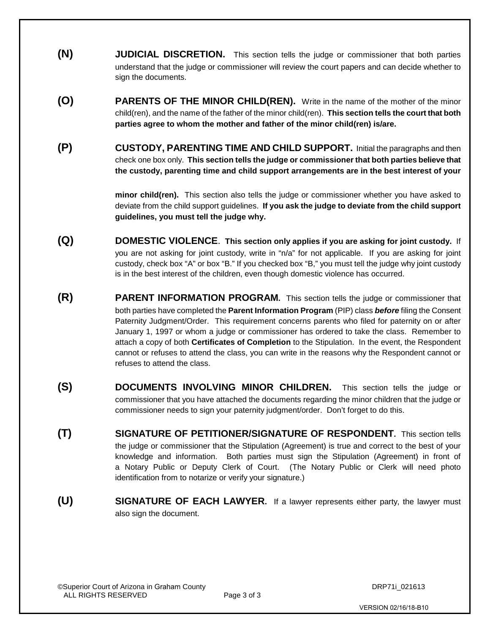- **(N) JUDICIAL DISCRETION.** This section tells the judge or commissioner that both parties understand that the judge or commissioner will review the court papers and can decide whether to sign the documents.
- **(O) PARENTS OF THE MINOR CHILD(REN).** Write in the name of the mother of the minor child(ren), and the name of the father of the minor child(ren). **This section tells the court that both parties agree to whom the mother and father of the minor child(ren) is/are.**
- **(P) CUSTODY, PARENTING TIME AND CHILD SUPPORT.** Initial the paragraphs and then check one box only. **This section tells the judge or commissioner that both parties believe that the custody, parenting time and child support arrangements are in the best interest of your**

**minor child(ren).** This section also tells the judge or commissioner whether you have asked to deviate from the child support guidelines. **If you ask the judge to deviate from the child support guidelines, you must tell the judge why.**

- **(Q) DOMESTIC VIOLENCE**. **This section only applies if you are asking for joint custody.** If you are not asking for joint custody, write in "n/a" for not applicable. If you are asking for joint custody, check box "A" or box "B." If you checked box "B," you must tell the judge why joint custody is in the best interest of the children, even though domestic violence has occurred.
- **(R) PARENT INFORMATION PROGRAM.** This section tells the judge or commissioner that both parties have completed the **Parent Information Program** (PIP) class *before* filing the Consent Paternity Judgment/Order. This requirement concerns parents who filed for paternity on or after January 1, 1997 or whom a judge or commissioner has ordered to take the class. Remember to attach a copy of both **Certificates of Completion** to the Stipulation. In the event, the Respondent cannot or refuses to attend the class, you can write in the reasons why the Respondent cannot or refuses to attend the class.
- **(S) DOCUMENTS INVOLVING MINOR CHILDREN.** This section tells the judge or commissioner that you have attached the documents regarding the minor children that the judge or commissioner needs to sign your paternity judgment/order. Don't forget to do this.
- **(T) SIGNATURE OF PETITIONER/SIGNATURE OF RESPONDENT.** This section tells the judge or commissioner that the Stipulation (Agreement) is true and correct to the best of your knowledge and information. Both parties must sign the Stipulation (Agreement) in front of a Notary Public or Deputy Clerk of Court. (The Notary Public or Clerk will need photo identification from to notarize or verify your signature.)
- **(U) SIGNATURE OF EACH LAWYER.** If a lawyer represents either party, the lawyer must also sign the document.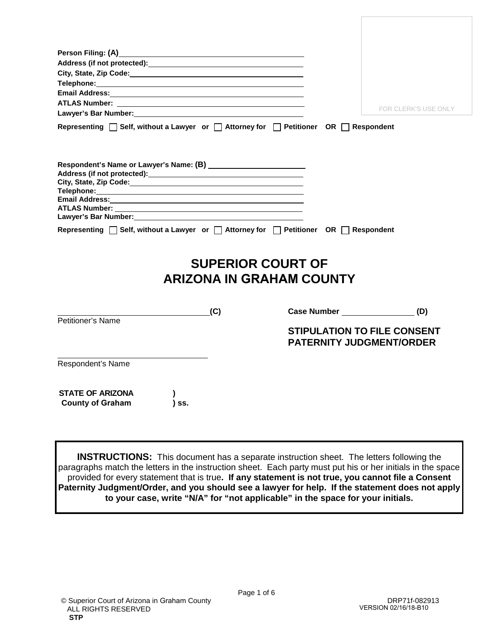| Address (if not protected): Manual Address (if not protected):                                                                                                                                                                                                                                                                                                                                                                                                                                                                                                                                                                                      |                                                                       |
|-----------------------------------------------------------------------------------------------------------------------------------------------------------------------------------------------------------------------------------------------------------------------------------------------------------------------------------------------------------------------------------------------------------------------------------------------------------------------------------------------------------------------------------------------------------------------------------------------------------------------------------------------------|-----------------------------------------------------------------------|
|                                                                                                                                                                                                                                                                                                                                                                                                                                                                                                                                                                                                                                                     |                                                                       |
|                                                                                                                                                                                                                                                                                                                                                                                                                                                                                                                                                                                                                                                     |                                                                       |
|                                                                                                                                                                                                                                                                                                                                                                                                                                                                                                                                                                                                                                                     |                                                                       |
|                                                                                                                                                                                                                                                                                                                                                                                                                                                                                                                                                                                                                                                     |                                                                       |
| Lawyer's Bar Number: Management and the state of the state of the state of the state of the state of the state of the state of the state of the state of the state of the state of the state of the state of the state of the                                                                                                                                                                                                                                                                                                                                                                                                                       | FOR CLERK'S USE ONLY                                                  |
| Representing $\Box$ Self, without a Lawyer or $\Box$ Attorney for $\Box$ Petitioner OR $\Box$ Respondent                                                                                                                                                                                                                                                                                                                                                                                                                                                                                                                                            |                                                                       |
| Respondent's Name or Lawyer's Name: (B) _________________________<br><b>ATLAS Number:</b><br>the control of the control of the control of the control of the control of the control of the control of the control of the control of the control of the control of the control of the control of the control of the control<br>Lawyer's Bar Number: Management and the state of the state of the state of the state of the state of the state of the state of the state of the state of the state of the state of the state of the state of the state of the<br>Representing □ Self, without a Lawyer or □ Attorney for □ Petitioner OR □ Respondent |                                                                       |
|                                                                                                                                                                                                                                                                                                                                                                                                                                                                                                                                                                                                                                                     | <b>SUPERIOR COURT OF</b><br><b>ARIZONA IN GRAHAM COUNTY</b>           |
| $\overline{\phantom{a}}$ . The contract of $\overline{\phantom{a}}$ , $\overline{\phantom{a}}$ , $\overline{\phantom{a}}$ , $\overline{\phantom{a}}$ , $\overline{\phantom{a}}$ , $\overline{\phantom{a}}$ , $\overline{\phantom{a}}$ , $\overline{\phantom{a}}$ , $\overline{\phantom{a}}$ , $\overline{\phantom{a}}$ , $\overline{\phantom{a}}$ , $\overline{\phantom{a}}$ , $\overline{\phantom{a}}$ , $\overline{\phantom{a$<br>(C)                                                                                                                                                                                                             | Case Number (D)                                                       |
| Petitioner's Name                                                                                                                                                                                                                                                                                                                                                                                                                                                                                                                                                                                                                                   |                                                                       |
|                                                                                                                                                                                                                                                                                                                                                                                                                                                                                                                                                                                                                                                     | <b>STIPULATION TO FILE CONSENT</b><br><b>PATERNITY JUDGMENT/ORDER</b> |
| Respondent's Name                                                                                                                                                                                                                                                                                                                                                                                                                                                                                                                                                                                                                                   |                                                                       |
| <b>STATE OF ARIZONA</b><br><b>County of Graham</b><br>) SS.                                                                                                                                                                                                                                                                                                                                                                                                                                                                                                                                                                                         |                                                                       |

**INSTRUCTIONS:** This document has a separate instruction sheet. The letters following the paragraphs match the letters in the instruction sheet. Each party must put his or her initials in the space provided for every statement that is true**. If any statement is not true, you cannot file a Consent Paternity Judgment/Order, and you should see a lawyer for help. If the statement does not apply to your case, write "N/A" for "not applicable" in the space for your initials.**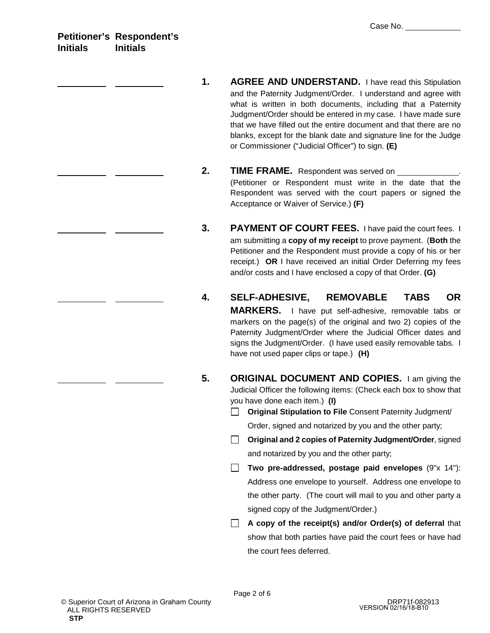**Petitioner's Respondent's Initials Initials**

- **1. AGREE AND UNDERSTAND.** I have read this Stipulation and the Paternity Judgment/Order. I understand and agree with what is written in both documents, including that a Paternity Judgment/Order should be entered in my case. I have made sure that we have filled out the entire document and that there are no blanks, except for the blank date and signature line for the Judge or Commissioner ("Judicial Officer") to sign. **(E)**
- **2. TIME FRAME.** Respondent was served on \_ (Petitioner or Respondent must write in the date that the Respondent was served with the court papers or signed the Acceptance or Waiver of Service.) **(F)**
- **3. PAYMENT OF COURT FEES.** I have paid the court fees. I am submitting a **copy of my receipt** to prove payment. (**Both** the Petitioner and the Respondent must provide a copy of his or her receipt.) **OR** I have received an initial Order Deferring my fees and/or costs and I have enclosed a copy of that Order. **(G)**
- **4. SELF-ADHESIVE, REMOVABLE TABS OR MARKERS.** I have put self-adhesive, removable tabs or markers on the page(s) of the original and two 2) copies of the Paternity Judgment/Order where the Judicial Officer dates and signs the Judgment/Order. (I have used easily removable tabs. I have not used paper clips or tape.) **(H)**
- **5. ORIGINAL DOCUMENT AND COPIES.** I am giving the Judicial Officer the following items: (Check each box to show that you have done each item.) **(I)**
	- **Original Stipulation to File** Consent Paternity Judgment/ Order, signed and notarized by you and the other party;
	- **Original and 2 copies of Paternity Judgment/Order**, signed and notarized by you and the other party;
	- **Two pre-addressed, postage paid envelopes** (9"x 14"): Address one envelope to yourself. Address one envelope to the other party. (The court will mail to you and other party a signed copy of the Judgment/Order.)
	- **A copy of the receipt(s) and/or Order(s) of deferral** that show that both parties have paid the court fees or have had the court fees deferred.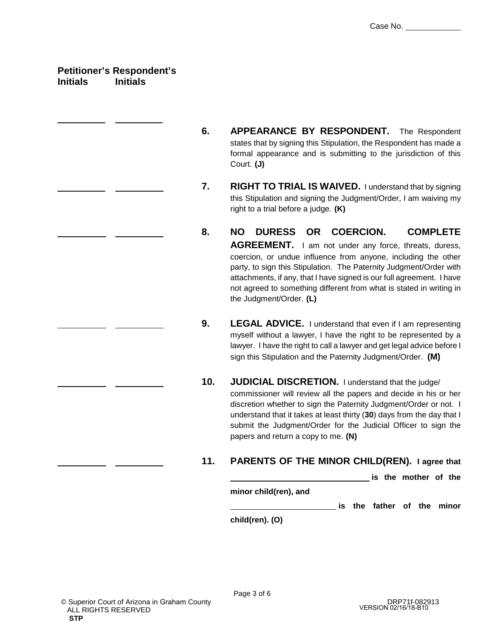#### **Petitioner's Respondent's Initials Initials**

- **6. APPEARANCE BY RESPONDENT.** The Respondent states that by signing this Stipulation, the Respondent has made a formal appearance and is submitting to the jurisdiction of this Court. **(J)**
- **7. RIGHT TO TRIAL IS WAIVED.** I understand that by signing this Stipulation and signing the Judgment/Order, I am waiving my right to a trial before a judge. **(K)**
- **8. NO DURESS OR COERCION. COMPLETE AGREEMENT.** I am not under any force, threats, duress, coercion, or undue influence from anyone, including the other party, to sign this Stipulation. The Paternity Judgment/Order with attachments, if any, that I have signed is our full agreement. I have not agreed to something different from what is stated in writing in the Judgment/Order. **(L)**
- **9. LEGAL ADVICE.** I understand that even if I am representing myself without a lawyer. I have the right to be represented by a lawyer. I have the right to call a lawyer and get legal advice before I sign this Stipulation and the Paternity Judgment/Order. **(M)**
- **10. JUDICIAL DISCRETION.** I understand that the judge/ commissioner will review all the papers and decide in his or her discretion whether to sign the Paternity Judgment/Order or not. I understand that it takes at least thirty (**30**) days from the day that I submit the Judgment/Order for the Judicial Officer to sign the papers and return a copy to me. **(N)**

#### **11. PARENTS OF THE MINOR CHILD(REN). I agree that**

**is the mother of the**

**minor child(ren), and**

**is the father of the minor**

**child(ren). (O)**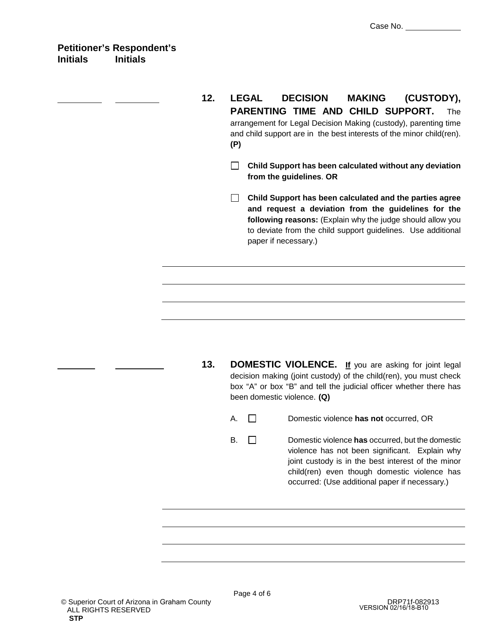- **12. LEGAL DECISION MAKING (CUSTODY), PARENTING TIME AND CHILD SUPPORT.** The arrangement for Legal Decision Making (custody), parenting time and child support are in the best interests of the minor child(ren). **(P)**
	- **Child Support has been calculated without any deviation from the guidelines**. **OR**
	- **Child Support has been calculated and the parties agree and request a deviation from the guidelines for the following reasons:** (Explain why the judge should allow you to deviate from the child support guidelines. Use additional paper if necessary.)

**13. DOMESTIC VIOLENCE. If** you are asking for joint legal decision making (joint custody) of the child(ren), you must check box "A" or box "B" and tell the judicial officer whether there has been domestic violence. **(Q)**

A. Domestic violence **has not** occurred, OR

B. Domestic violence **has** occurred, but the domestic violence has not been significant. Explain why joint custody is in the best interest of the minor child(ren) even though domestic violence has occurred: (Use additional paper if necessary.)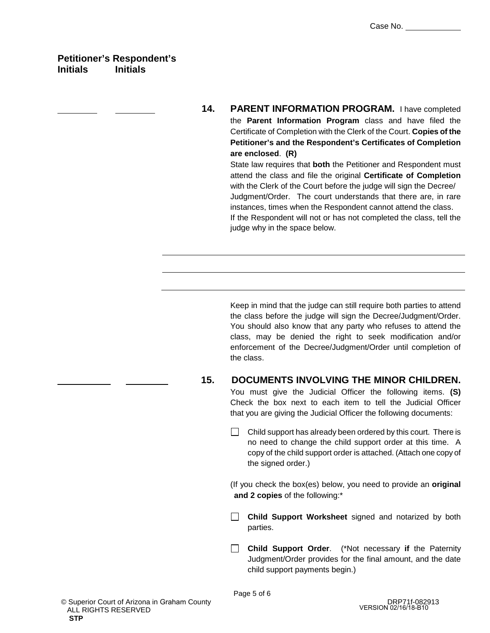#### **Petitioner's Respondent's Initials Initials**

**14. PARENT INFORMATION PROGRAM.** I have completed the **Parent Information Program** class and have filed the Certificate of Completion with the Clerk of the Court. **Copies of the Petitioner's and the Respondent's Certificates of Completion are enclosed**. **(R)** State law requires that **both** the Petitioner and Respondent must

attend the class and file the original **Certificate of Completion** with the Clerk of the Court before the judge will sign the Decree/ Judgment/Order. The court understands that there are, in rare instances, times when the Respondent cannot attend the class. If the Respondent will not or has not completed the class, tell the judge why in the space below.

Keep in mind that the judge can still require both parties to attend the class before the judge will sign the Decree/Judgment/Order. You should also know that any party who refuses to attend the class, may be denied the right to seek modification and/or enforcement of the Decree/Judgment/Order until completion of the class.

**15. DOCUMENTS INVOLVING THE MINOR CHILDREN.**

You must give the Judicial Officer the following items. **(S)** Check the box next to each item to tell the Judicial Officer that you are giving the Judicial Officer the following documents:

 $\Box$  Child support has already been ordered by this court. There is no need to change the child support order at this time. A copy of the child support order is attached. (Attach one copy of the signed order.)

(If you check the box(es) below, you need to provide an **original and 2 copies** of the following:\*

- **Child Support Worksheet** signed and notarized by both parties.
- $\Box$ **Child Support Order**. (\*Not necessary **if** the Paternity Judgment/Order provides for the final amount, and the date child support payments begin.)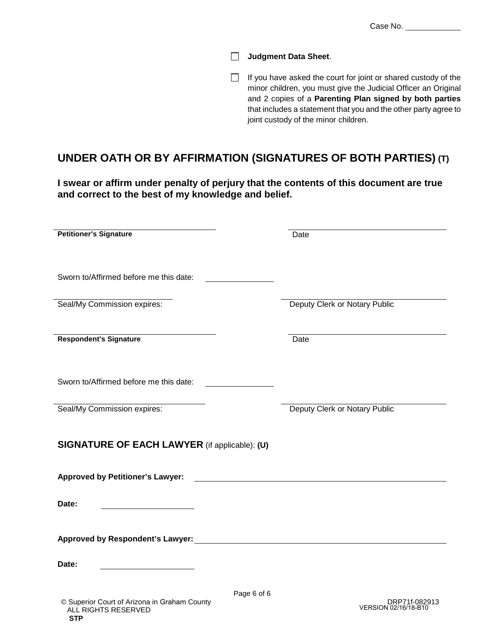Case No.

**Judgment Data Sheet**.

 $\Box$  If you have asked the court for joint or shared custody of the minor children, you must give the Judicial Officer an Original and 2 copies of a **Parenting Plan signed by both parties** that includes a statement that you and the other party agree to joint custody of the minor children.

#### **UNDER OATH OR BY AFFIRMATION (SIGNATURES OF BOTH PARTIES) (T)**

**I swear or affirm under penalty of perjury that the contents of this document are true and correct to the best of my knowledge and belief.**

| <b>Petitioner's Signature</b>                               | Date                          |
|-------------------------------------------------------------|-------------------------------|
| Sworn to/Affirmed before me this date:                      |                               |
| Seal/My Commission expires:                                 | Deputy Clerk or Notary Public |
| <b>Respondent's Signature</b>                               | Date                          |
| Sworn to/Affirmed before me this date:                      |                               |
| Seal/My Commission expires:                                 | Deputy Clerk or Notary Public |
| SIGNATURE OF EACH LAWYER (if applicable): (U)               |                               |
| <b>Approved by Petitioner's Lawyer:</b>                     |                               |
| Date:                                                       |                               |
|                                                             |                               |
| Date:                                                       |                               |
| Page 6 of 6<br>© Superior Court of Arizona in Graham County | DRP71f-082913                 |

ALL RIGHTS RESERVED

**STP**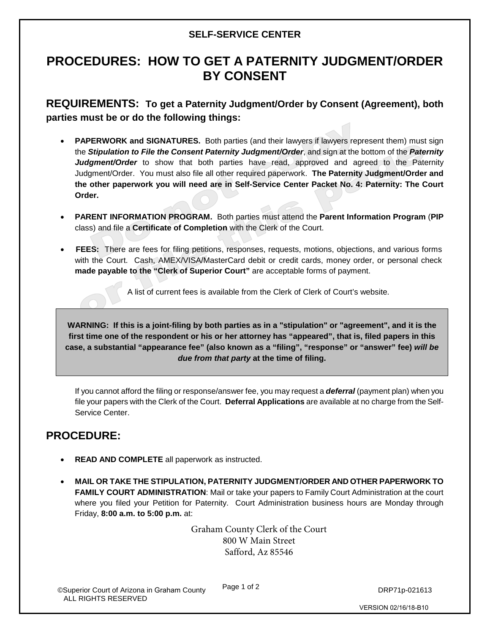#### **SELF-SERVICE CENTER**

#### **PROCEDURES: HOW TO GET A PATERNITY JUDGMENT/ORDER BY CONSENT**

**REQUIREMENTS: To get a Paternity Judgment/Order by Consent (Agreement), both parties must be or do the following things:**

- **PAPERWORK and SIGNATURES.** Both parties (and their lawyers if lawyers represent them) must sign the *Stipulation to File the Consent Paternity Judgment/Order*, and sign at the bottom of the *Paternity Judgment/Order* to show that both parties have read, approved and agreed to the Paternity Judgment/Order. You must also file all other required paperwork. **The Paternity Judgment/Order and the other paperwork you will need are in Self-Service Center Packet No. 4: Paternity: The Court Order.**
- **PARENT INFORMATION PROGRAM.** Both parties must attend the **Parent Information Program** (**PIP** class) and file a **Certificate of Completion** with the Clerk of the Court.
- **FEES:** There are fees for filing petitions, responses, requests, motions, objections, and various forms with the Court. Cash, AMEX/VISA/MasterCard debit or credit cards, money order, or personal check **made payable to the "Clerk of Superior Court"** are acceptable forms of payment.

A list of current fees is available from the Clerk of Clerk of Court's website.

**WARNING: If this is a joint-filing by both parties as in a "stipulation" or "agreement", and it is the first time one of the respondent or his or her attorney has "appeared", that is, filed papers in this case, a substantial "appearance fee" (also known as a "filing", "response" or "answer" fee)** *will be due from that party* **at the time of filing.**

If you cannot afford the filing or response/answer fee, you may request a *deferral* (payment plan) when you file your papers with the Clerk of the Court. **Deferral Applications** are available at no charge from the Self-Service Center.

#### **PROCEDURE:**

- **READ AND COMPLETE** all paperwork as instructed.
- **MAIL OR TAKE THE STIPULATION, PATERNITY JUDGMENT/ORDER AND OTHER PAPERWORK TO FAMILY COURT ADMINISTRATION**: Mail or take your papers to Family Court Administration at the court where you filed your Petition for Paternity. Court Administration business hours are Monday through Friday, **8:00 a.m. to 5:00 p.m.** at:

Graham County Clerk of the Court 800 W Main Street Safford, Az 85546

Page 1 of 2

VERSION 02/16/18-B10